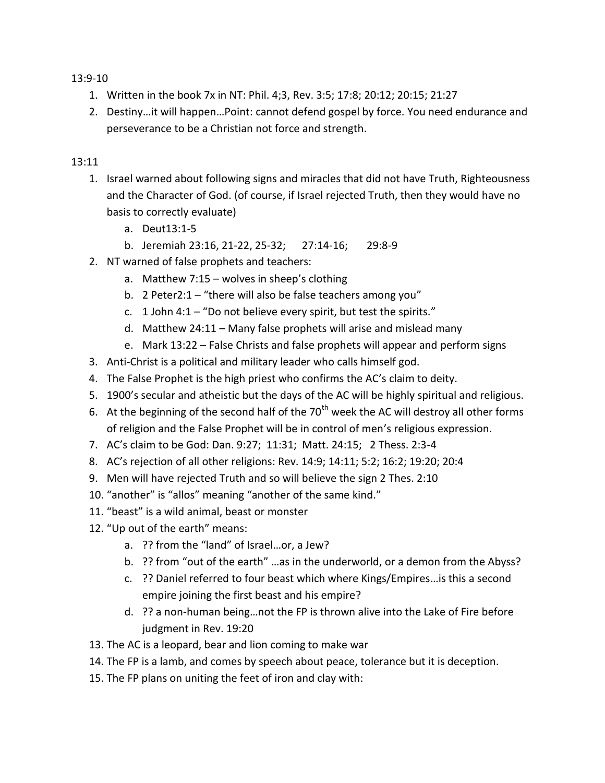13:9-10

- 1. Written in the book 7x in NT: Phil. 4;3, Rev. 3:5; 17:8; 20:12; 20:15; 21:27
- 2. Destiny…it will happen…Point: cannot defend gospel by force. You need endurance and perseverance to be a Christian not force and strength.

## 13:11

- 1. Israel warned about following signs and miracles that did not have Truth, Righteousness and the Character of God. (of course, if Israel rejected Truth, then they would have no basis to correctly evaluate)
	- a. Deut13:1-5
	- b. Jeremiah 23:16, 21-22, 25-32; 27:14-16; 29:8-9
- 2. NT warned of false prophets and teachers:
	- a. Matthew 7:15 wolves in sheep's clothing
	- b. 2 Peter2:1 "there will also be false teachers among you"
	- c. 1 John 4:1 "Do not believe every spirit, but test the spirits."
	- d. Matthew 24:11 Many false prophets will arise and mislead many
	- e. Mark 13:22 False Christs and false prophets will appear and perform signs
- 3. Anti-Christ is a political and military leader who calls himself god.
- 4. The False Prophet is the high priest who confirms the AC's claim to deity.
- 5. 1900's secular and atheistic but the days of the AC will be highly spiritual and religious.
- 6. At the beginning of the second half of the  $70<sup>th</sup>$  week the AC will destroy all other forms of religion and the False Prophet will be in control of men's religious expression.
- 7. AC's claim to be God: Dan. 9:27; 11:31; Matt. 24:15; 2 Thess. 2:3-4
- 8. AC's rejection of all other religions: Rev. 14:9; 14:11; 5:2; 16:2; 19:20; 20:4
- 9. Men will have rejected Truth and so will believe the sign 2 Thes. 2:10
- 10. "another" is "allos" meaning "another of the same kind."
- 11. "beast" is a wild animal, beast or monster
- 12. "Up out of the earth" means:
	- a. ?? from the "land" of Israel…or, a Jew?
	- b. ?? from "out of the earth" …as in the underworld, or a demon from the Abyss?
	- c. ?? Daniel referred to four beast which where Kings/Empires…is this a second empire joining the first beast and his empire?
	- d. ?? a non-human being…not the FP is thrown alive into the Lake of Fire before judgment in Rev. 19:20
- 13. The AC is a leopard, bear and lion coming to make war
- 14. The FP is a lamb, and comes by speech about peace, tolerance but it is deception.
- 15. The FP plans on uniting the feet of iron and clay with: